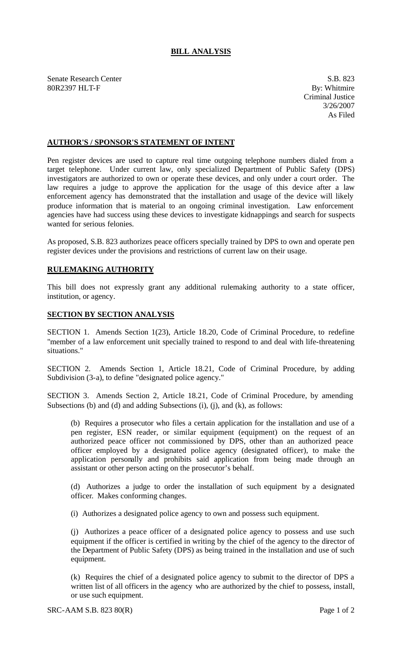## **BILL ANALYSIS**

Senate Research Center S.B. 823 80R2397 HLT-F By: Whitmire

Criminal Justice 3/26/2007 As Filed

## **AUTHOR'S / SPONSOR'S STATEMENT OF INTENT**

Pen register devices are used to capture real time outgoing telephone numbers dialed from a target telephone. Under current law, only specialized Department of Public Safety (DPS) investigators are authorized to own or operate these devices, and only under a court order. The law requires a judge to approve the application for the usage of this device after a law enforcement agency has demonstrated that the installation and usage of the device will likely produce information that is material to an ongoing criminal investigation. Law enforcement agencies have had success using these devices to investigate kidnappings and search for suspects wanted for serious felonies.

As proposed, S.B. 823 authorizes peace officers specially trained by DPS to own and operate pen register devices under the provisions and restrictions of current law on their usage.

## **RULEMAKING AUTHORITY**

This bill does not expressly grant any additional rulemaking authority to a state officer, institution, or agency.

## **SECTION BY SECTION ANALYSIS**

SECTION 1. Amends Section 1(23), Article 18.20, Code of Criminal Procedure, to redefine "member of a law enforcement unit specially trained to respond to and deal with life-threatening situations."

SECTION 2. Amends Section 1, Article 18.21, Code of Criminal Procedure, by adding Subdivision (3-a), to define "designated police agency."

SECTION 3. Amends Section 2, Article 18.21, Code of Criminal Procedure, by amending Subsections (b) and (d) and adding Subsections (i), (j), and (k), as follows:

(b) Requires a prosecutor who files a certain application for the installation and use of a pen register, ESN reader, or similar equipment (equipment) on the request of an authorized peace officer not commissioned by DPS, other than an authorized peace officer employed by a designated police agency (designated officer), to make the application personally and prohibits said application from being made through an assistant or other person acting on the prosecutor's behalf.

(d) Authorizes a judge to order the installation of such equipment by a designated officer. Makes conforming changes.

(i) Authorizes a designated police agency to own and possess such equipment.

(j) Authorizes a peace officer of a designated police agency to possess and use such equipment if the officer is certified in writing by the chief of the agency to the director of the Department of Public Safety (DPS) as being trained in the installation and use of such equipment.

(k) Requires the chief of a designated police agency to submit to the director of DPS a written list of all officers in the agency who are authorized by the chief to possess, install, or use such equipment.